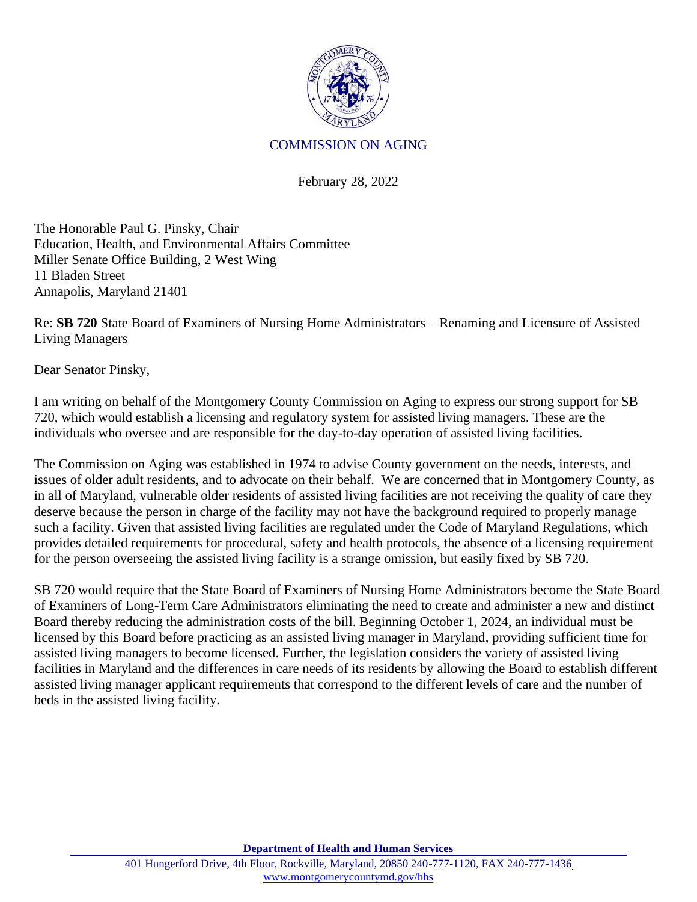

## COMMISSION ON AGING

February 28, 2022

The Honorable Paul G. Pinsky, Chair Education, Health, and Environmental Affairs Committee Miller Senate Office Building, 2 West Wing 11 Bladen Street Annapolis, Maryland 21401

Re: **SB 720** State Board of Examiners of Nursing Home Administrators – Renaming and Licensure of Assisted Living Managers

Dear Senator Pinsky,

I am writing on behalf of the Montgomery County Commission on Aging to express our strong support for SB 720, which would establish a licensing and regulatory system for assisted living managers. These are the individuals who oversee and are responsible for the day-to-day operation of assisted living facilities.

The Commission on Aging was established in 1974 to advise County government on the needs, interests, and issues of older adult residents, and to advocate on their behalf. We are concerned that in Montgomery County, as in all of Maryland, vulnerable older residents of assisted living facilities are not receiving the quality of care they deserve because the person in charge of the facility may not have the background required to properly manage such a facility. Given that assisted living facilities are regulated under the Code of Maryland Regulations, which provides detailed requirements for procedural, safety and health protocols, the absence of a licensing requirement for the person overseeing the assisted living facility is a strange omission, but easily fixed by SB 720.

SB 720 would require that the State Board of Examiners of Nursing Home Administrators become the State Board of Examiners of Long-Term Care Administrators eliminating the need to create and administer a new and distinct Board thereby reducing the administration costs of the bill. Beginning October 1, 2024, an individual must be licensed by this Board before practicing as an assisted living manager in Maryland, providing sufficient time for assisted living managers to become licensed. Further, the legislation considers the variety of assisted living facilities in Maryland and the differences in care needs of its residents by allowing the Board to establish different assisted living manager applicant requirements that correspond to the different levels of care and the number of beds in the assisted living facility.

**Department of Health and Human Services**